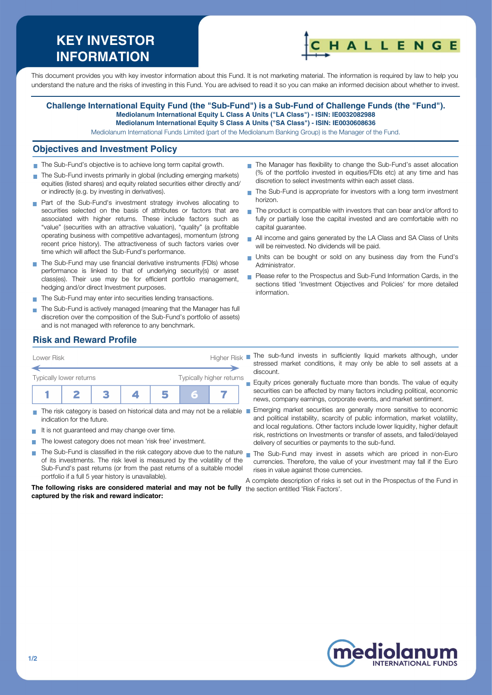# **KEY INVESTOR INFORMATION**



This document provides you with key investor information about this Fund. It is not marketing material. The information is required by law to help you understand the nature and the risks of investing in this Fund. You are advised to read it so you can make an informed decision about whether to invest.

#### **Challenge International Equity Fund (the "Sub-Fund") is a Sub-Fund of Challenge Funds (the "Fund"). Mediolanum International Equity L Class A Units ("LA Class") - ISIN: IE0032082988 Mediolanum International Equity S Class A Units ("SA Class") - ISIN: IE0030608636**

Mediolanum International Funds Limited (part of the Mediolanum Banking Group) is the Manager of the Fund.

#### **Objectives and Investment Policy**

- The Sub-Fund's objective is to achieve long term capital growth.
- The Sub-Fund invests primarily in global (including emerging markets) equities (listed shares) and equity related securities either directly and/ or indirectly (e.g. by investing in derivatives).
- **Part of the Sub-Fund's investment strategy involves allocating to** securities selected on the basis of attributes or factors that are associated with higher returns. These include factors such as "value" (securities with an attractive valuation), "quality" (a profitable operating business with competitive advantages), momentum (strong recent price history). The attractiveness of such factors varies over time which will affect the Sub-Fund's performance.
- The Sub-Fund may use financial derivative instruments (FDIs) whose performance is linked to that of underlying security(s) or asset class(es). Their use may be for efficient portfolio management, hedging and/or direct Investment purposes.
- The Sub-Fund may enter into securities lending transactions.
- The Sub-Fund is actively managed (meaning that the Manager has full discretion over the composition of the Sub-Fund's portfolio of assets) and is not managed with reference to any benchmark.
- The Manager has flexibility to change the Sub-Fund's asset allocation (% of the portfolio invested in equities/FDIs etc) at any time and has discretion to select investments within each asset class.
- The Sub-Fund is appropriate for investors with a long term investment horizon.
- $\blacksquare$  The product is compatible with investors that can bear and/or afford to fully or partially lose the capital invested and are comfortable with no capital guarantee.
- All income and gains generated by the LA Class and SA Class of Units will be reinvested. No dividends will be paid.
- Units can be bought or sold on any business day from the Fund's Administrator.
- Please refer to the Prospectus and Sub-Fund Information Cards, in the sections titled 'Investment Objectives and Policies' for more detailed information.

### **Risk and Reward Profile**



- indication for the future.
- It is not quaranteed and may change over time.
- The lowest category does not mean 'risk free' investment.  $\mathcal{L}_{\mathcal{A}}$
- The Sub-Fund is classified in the risk category above due to the nature **T** of its investments. The risk level is measured by the volatility of the Sub-Fund's past returns (or from the past returns of a suitable model portfolio if a full 5 year history is unavailable).

**The following risks are considered material and may not be fully** the section entitled 'Risk Factors'.**captured by the risk and reward indicator:**

- stressed market conditions, it may only be able to sell assets at a discount.
- **Equity prices generally fluctuate more than bonds. The value of equity** securities can be affected by many factors including political, economic news, company earnings, corporate events, and market sentiment.
- The risk category is based on historical data and may not be a reliable Emerging market securities are generally more sensitive to economic and political instability, scarcity of public information, market volatility, and local regulations. Other factors include lower liquidity, higher default risk, restrictions on Investments or transfer of assets, and failed/delayed delivery of securities or payments to the sub-fund.
	- The Sub-Fund may invest in assets which are priced in non-Euro currencies. Therefore, the value of your investment may fall if the Euro rises in value against those currencies.

A complete description of risks is set out in the Prospectus of the Fund in